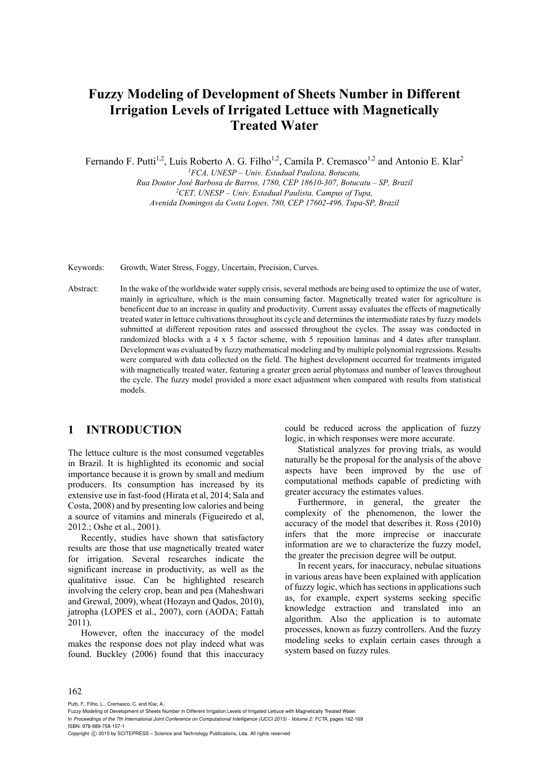# **Fuzzy Modeling of Development of Sheets Number in Different Irrigation Levels of Irrigated Lettuce with Magnetically Treated Water**

Fernando F. Putti<sup>1,2</sup>, Luís Roberto A. G. Filho<sup>1,2</sup>, Camila P. Cremasco<sup>1,2</sup> and Antonio E. Klar<sup>2</sup>

*1FCA, UNESP – Univ. Estadual Paulista, Botucatu, Rua Doutor José Barbosa de Barros, 1780, CEP 18610-307, Botucatu – SP, Brazil 2CET, UNESP – Univ. Estadual Paulista, Campus of Tupa,* 

*Avenida Domingos da Costa Lopes, 780, CEP 17602-496, Tupa-SP, Brazil* 

Keywords: Growth, Water Stress, Foggy, Uncertain, Precision, Curves.

Abstract: In the wake of the worldwide water supply crisis, several methods are being used to optimize the use of water, mainly in agriculture, which is the main consuming factor. Magnetically treated water for agriculture is beneficent due to an increase in quality and productivity. Current assay evaluates the effects of magnetically treated water in lettuce cultivations throughout its cycle and determines the intermediate rates by fuzzy models submitted at different reposition rates and assessed throughout the cycles. The assay was conducted in randomized blocks with a 4 x 5 factor scheme, with 5 reposition laminas and 4 dates after transplant. Development was evaluated by fuzzy mathematical modeling and by multiple polynomial regressions. Results were compared with data collected on the field. The highest development occurred for treatments irrigated with magnetically treated water, featuring a greater green aerial phytomass and number of leaves throughout the cycle. The fuzzy model provided a more exact adjustment when compared with results from statistical models.

## **1 INTRODUCTION**

The lettuce culture is the most consumed vegetables in Brazil. It is highlighted its economic and social importance because it is grown by small and medium producers. Its consumption has increased by its extensive use in fast-food (Hirata et al, 2014; Sala and Costa, 2008) and by presenting low calories and being a source of vitamins and minerals (Figueiredo et al, 2012.; Oshe et al., 2001).

Recently, studies have shown that satisfactory results are those that use magnetically treated water for irrigation. Several researches indicate the significant increase in productivity, as well as the qualitative issue. Can be highlighted research involving the celery crop, bean and pea (Maheshwari and Grewal, 2009), wheat (Hozayn and Qados, 2010), jatropha (LOPES et al., 2007), corn (AODA; Fattah 2011).

However, often the inaccuracy of the model makes the response does not play indeed what was found. Buckley (2006) found that this inaccuracy could be reduced across the application of fuzzy logic, in which responses were more accurate.

Statistical analyzes for proving trials, as would naturally be the proposal for the analysis of the above aspects have been improved by the use of computational methods capable of predicting with greater accuracy the estimates values.

Furthermore, in general, the greater the complexity of the phenomenon, the lower the accuracy of the model that describes it. Ross (2010) infers that the more imprecise or inaccurate information are we to characterize the fuzzy model, the greater the precision degree will be output.

In recent years, for inaccuracy, nebulae situations in various areas have been explained with application of fuzzy logic, which has sections in applications such as, for example, expert systems seeking specific knowledge extraction and translated into an algorithm. Also the application is to automate processes, known as fuzzy controllers. And the fuzzy modeling seeks to explain certain cases through a system based on fuzzy rules.

#### 162

Putti, F., Filho, L., Cremasco, C. and Klar, A..

Fuzzy Modeling of Development of Sheets Number in Different Irrigation Levels of Irrigated Lettuce with Magnetically Treated Water.

In *Proceedings of the 7th International Joint Conference on Computational Intelligence (IJCCI 2015) - Volume 2: FCTA*, pages 162-169 ISBN: 978-989-758-157-1

Copyright C 2015 by SCITEPRESS - Science and Technology Publications, Lda. All rights reserved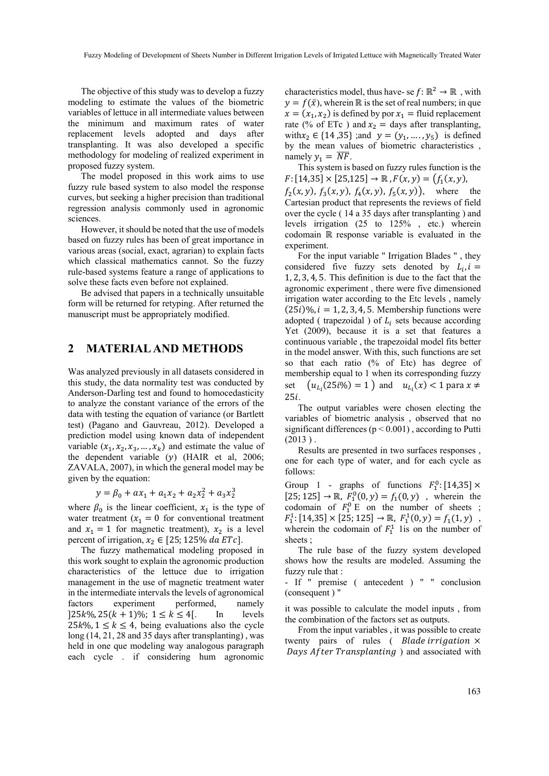The objective of this study was to develop a fuzzy modeling to estimate the values of the biometric variables of lettuce in all intermediate values between the minimum and maximum rates of water replacement levels adopted and days after transplanting. It was also developed a specific methodology for modeling of realized experiment in proposed fuzzy system.

The model proposed in this work aims to use fuzzy rule based system to also model the response curves, but seeking a higher precision than traditional regression analysis commonly used in agronomic sciences.

However, it should be noted that the use of models based on fuzzy rules has been of great importance in various areas (social, exact, agrarian) to explain facts which classical mathematics cannot. So the fuzzy rule-based systems feature a range of applications to solve these facts even before not explained.

Be advised that papers in a technically unsuitable form will be returned for retyping. After returned the manuscript must be appropriately modified.

### **2 MATERIAL AND METHODS**

Was analyzed previously in all datasets considered in this study, the data normality test was conducted by Anderson-Darling test and found to homocedasticity to analyze the constant variance of the errors of the data with testing the equation of variance (or Bartlett test) (Pagano and Gauvreau, 2012). Developed a prediction model using known data of independent variable  $(x_1, x_2, x_3, ..., x_k)$  and estimate the value of the dependent variable  $(y)$  (HAIR et al, 2006; ZAVALA, 2007), in which the general model may be given by the equation:

$$
y = \beta_0 + ax_1 + a_1x_2 + a_2x_2^2 + a_3x_2^3
$$

where  $\beta_0$  is the linear coefficient,  $x_1$  is the type of water treatment  $(x_1 = 0$  for conventional treatment and  $x_1 = 1$  for magnetic treatment),  $x_2$  is a level percent of irrigation,  $x_2 \in [25; 125\% \, da \, ETe]$ .

The fuzzy mathematical modeling proposed in this work sought to explain the agronomic production characteristics of the lettuce due to irrigation management in the use of magnetic treatment water in the intermediate intervals the levels of agronomical factors experiment performed, namely  $[25k\%, 25(k+1)\%; 1 \le k \le 4]$ . In levels  $25k\%$ ,  $1 \leq k \leq 4$ , being evaluations also the cycle long (14, 21, 28 and 35 days after transplanting) , was held in one que modeling way analogous paragraph each cycle . if considering hum agronomic

characteristics model, thus have- se  $f: \mathbb{R}^2 \to \mathbb{R}$ , with  $y = f(\bar{x})$ , wherein ℝ is the set of real numbers; in que  $x = (x_1, x_2)$  is defined by por  $x_1$  = fluid replacement rate (% of ETc) and  $x_2$  = days after transplanting, with  $x_2 \in \{14, 35\}$ ; and  $y = (y_1, ..., y_5)$  is defined by the mean values of biometric characteristics , namely  $y_1 = \overline{NF}$ .

This system is based on fuzzy rules function is the  $F: [14,35] \times [25,125] \rightarrow \mathbb{R}$ ,  $F(x,y) = (f_1(x,y),$  $f_2(x, y)$ ,  $f_3(x, y)$ ,  $f_4(x, y)$ ,  $f_5(x, y)$ , where the Cartesian product that represents the reviews of field over the cycle ( 14 a 35 days after transplanting ) and levels irrigation (25 to 125% , etc.) wherein codomain ℝ response variable is evaluated in the experiment.

For the input variable " Irrigation Blades " , they considered five fuzzy sets denoted by  $L_i$ ,  $i =$ 1, 2, 3, 4, 5. This definition is due to the fact that the agronomic experiment , there were five dimensioned irrigation water according to the Etc levels , namely  $(25i)\%$ ,  $i = 1, 2, 3, 4, 5$ . Membership functions were adopted ( trapezoidal ) of  $L_i$  sets because according Yet (2009), because it is a set that features a continuous variable , the trapezoidal model fits better in the model answer. With this, such functions are set so that each ratio (% of Etc) has degree of membership equal to 1 when its corresponding fuzzy set  $(u_{L_i}(25i\%) = 1)$  and  $u_{L_i}(x) < 1$  para  $x \neq$  $25i$ .

The output variables were chosen electing the variables of biometric analysis , observed that no significant differences ( $p < 0.001$ ), according to Putti  $(2013)$ .

Results are presented in two surfaces responses , one for each type of water, and for each cycle as follows:

Group 1 - graphs of functions  $F_1^0$ : [14,35]  $\times$  $[25; 125] \rightarrow \mathbb{R}$ ,  $F_1^0(0, y) = f_1(0, y)$ , wherein the codomain of  $F_1^0$  E on the number of sheets ;  $F_1^1$ : [14,35] × [25; 125] → ℝ,  $F_1^1(0, y) = f_1(1, y)$ , wherein the codomain of  $F_1^1$  lis on the number of sheets ;

The rule base of the fuzzy system developed shows how the results are modeled. Assuming the fuzzy rule that :

- If " premise ( antecedent ) " " conclusion (consequent ) "

it was possible to calculate the model inputs , from the combination of the factors set as outputs.

From the input variables , it was possible to create twenty pairs of rules (*Blade irrigation*  $\times$ Days After Transplanting ) and associated with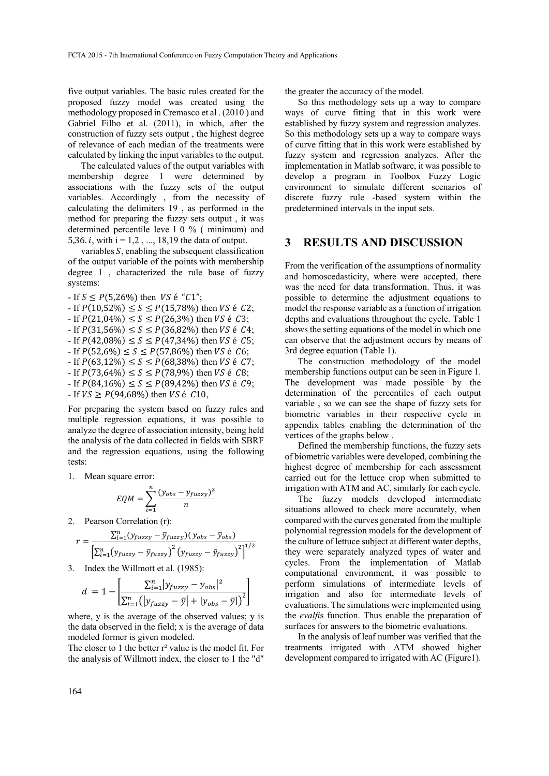five output variables. The basic rules created for the proposed fuzzy model was created using the methodology proposed in Cremasco et al . (2010 ) and Gabriel Filho et al. (2011), in which, after the construction of fuzzy sets output , the highest degree of relevance of each median of the treatments were calculated by linking the input variables to the output.

The calculated values of the output variables with membership degree 1 were determined by associations with the fuzzy sets of the output variables. Accordingly , from the necessity of calculating the delimiters 19 , as performed in the method for preparing the fuzzy sets output , it was determined percentile leve l 0 % ( minimum) and 5,36. *i*, with  $i = 1, 2, ..., 18,19$  the data of output.

variables  $S$ , enabling the subsequent classification of the output variable of the points with membership degree 1 , characterized the rule base of fuzzy systems:

- If  $S \le P(5, 26\%)$  then *VS* é "C1";  $-F(10,52\%) \leq S \leq P(15,78\%)$  then *VS* é *C2*;  $-F(21,04\%) \le S \le P(26,3\%)$  then VS é C3;  $-F(31,56\%) \leq S \leq P(36,82\%)$  then *VS* é *C*4;  $-F(42,08\%) \leq S \leq P(47,34\%)$  then *VS* é *C*5;  $-F(52,6\%) \leq S \leq P(57,86\%)$  then VS é C6;  $-F(63,12\%) \leq S \leq P(68,38\%)$  then *VS* é *C*7; - If  $P(73,64\%) \le S \le P(78,9\%)$  then *VS* é *C*8;  $-F(84,16\%) \leq S \leq P(89,42\%)$  then *VS* é *C*9;  $-F = \text{If } V_s \ge P(94,68\%)$  then  $VS \in C10$ ,

For preparing the system based on fuzzy rules and multiple regression equations, it was possible to analyze the degree of association intensity, being held the analysis of the data collected in fields with SBRF and the regression equations, using the following tests:

1. Mean square error:

$$
EQM = \sum_{i=1}^{n} \frac{(y_{obs} - y_{fuzzy})^2}{n}
$$

2. Pearson Correlation (r):

$$
r = \frac{\sum_{i=1}^{n} (y_{fuzzy} - \bar{y}_{fuzzy})(y_{obs} - \bar{y}_{obs})}{\left[\sum_{i=1}^{n} (y_{fuzzy} - \bar{y}_{fuzzy})^2 (y_{fuzzy} - \bar{y}_{fuzzy})^2\right]^{1/2}}
$$

3. Index the Willmott et al. (1985):

$$
d = 1 - \left[ \frac{\sum_{i=1}^{n} |y_{fuzzy} - y_{obs}|^2}{\sum_{i=1}^{n} (|y_{fuzzy} - \bar{y}| + |y_{obs} - \bar{y}|)^2} \right]
$$

where, y is the average of the observed values; y is the data observed in the field; x is the average of data modeled former is given modeled.

The closer to 1 the better r<sup>2</sup> value is the model fit. For the analysis of Willmott index, the closer to 1 the "d"

the greater the accuracy of the model.

So this methodology sets up a way to compare ways of curve fitting that in this work were established by fuzzy system and regression analyzes. So this methodology sets up a way to compare ways of curve fitting that in this work were established by fuzzy system and regression analyzes. After the implementation in Matlab software, it was possible to develop a program in Toolbox Fuzzy Logic environment to simulate different scenarios of discrete fuzzy rule -based system within the predetermined intervals in the input sets.

### **3 RESULTS AND DISCUSSION**

From the verification of the assumptions of normality and homoscedasticity, where were accepted, there was the need for data transformation. Thus, it was possible to determine the adjustment equations to model the response variable as a function of irrigation depths and evaluations throughout the cycle. Table 1 shows the setting equations of the model in which one can observe that the adjustment occurs by means of 3rd degree equation (Table 1).

The construction methodology of the model membership functions output can be seen in Figure 1. The development was made possible by the determination of the percentiles of each output variable , so we can see the shape of fuzzy sets for biometric variables in their respective cycle in appendix tables enabling the determination of the vertices of the graphs below .

Defined the membership functions, the fuzzy sets of biometric variables were developed, combining the highest degree of membership for each assessment carried out for the lettuce crop when submitted to irrigation with ATM and AC, similarly for each cycle.

The fuzzy models developed intermediate situations allowed to check more accurately, when compared with the curves generated from the multiple polynomial regression models for the development of the culture of lettuce subject at different water depths, they were separately analyzed types of water and cycles. From the implementation of Matlab computational environment, it was possible to perform simulations of intermediate levels of irrigation and also for intermediate levels of evaluations. The simulations were implemented using the *evalfi*s function. Thus enable the preparation of surfaces for answers to the biometric evaluations.

In the analysis of leaf number was verified that the treatments irrigated with ATM showed higher development compared to irrigated with AC (Figure1).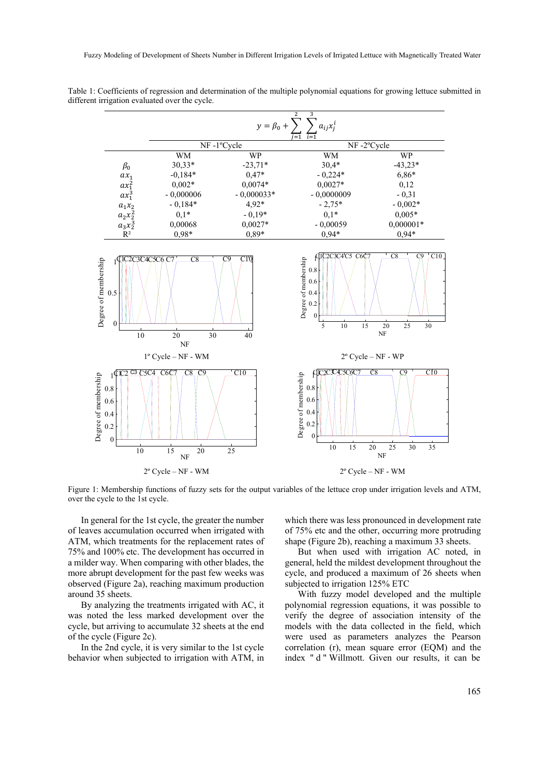

Table 1: Coefficients of regression and determination of the multiple polynomial equations for growing lettuce submitted in different irrigation evaluated over the cycle.

Figure 1: Membership functions of fuzzy sets for the output variables of the lettuce crop under irrigation levels and ATM, over the cycle to the 1st cycle.

In general for the 1st cycle, the greater the number of leaves accumulation occurred when irrigated with ATM, which treatments for the replacement rates of 75% and 100% etc. The development has occurred in a milder way. When comparing with other blades, the more abrupt development for the past few weeks was observed (Figure 2a), reaching maximum production around 35 sheets.

By analyzing the treatments irrigated with AC, it was noted the less marked development over the cycle, but arriving to accumulate 32 sheets at the end of the cycle (Figure 2c).

In the 2nd cycle, it is very similar to the 1st cycle behavior when subjected to irrigation with ATM, in which there was less pronounced in development rate of 75% etc and the other, occurring more protruding shape (Figure 2b), reaching a maximum 33 sheets.

But when used with irrigation AC noted, in general, held the mildest development throughout the cycle, and produced a maximum of 26 sheets when subjected to irrigation 125% ETC

With fuzzy model developed and the multiple polynomial regression equations, it was possible to verify the degree of association intensity of the models with the data collected in the field, which were used as parameters analyzes the Pearson correlation (r), mean square error (EQM) and the index " d " Willmott. Given our results, it can be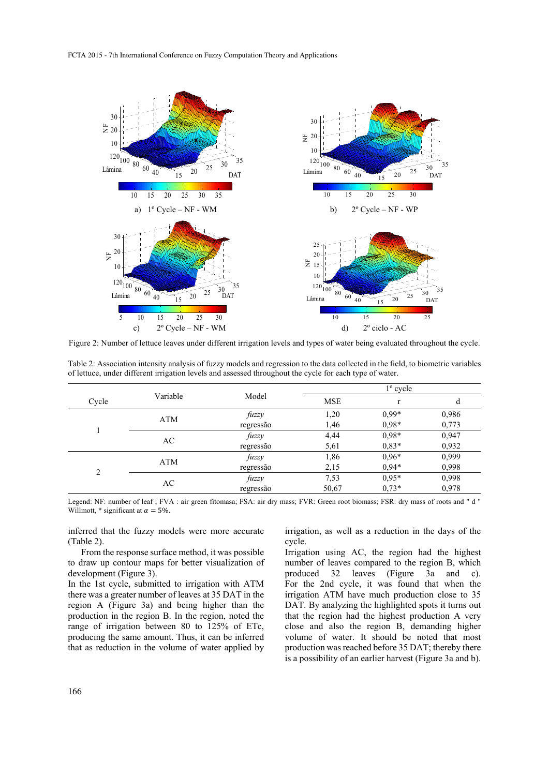

Figure 2: Number of lettuce leaves under different irrigation levels and types of water being evaluated throughout the cycle.

|       | Variable   | Model     | $1^{\circ}$ cycle |              |       |
|-------|------------|-----------|-------------------|--------------|-------|
| Cycle |            |           | <b>MSE</b>        | $\mathbf{r}$ | d     |
|       | <b>ATM</b> | fuzzy     | 1,20              | $0.99*$      | 0,986 |
|       |            | regressão | 1,46              | $0.98*$      | 0,773 |
|       | AC         | fuzzy     | 4,44              | $0,98*$      | 0,947 |
|       |            | regressão | 5,61              | $0.83*$      | 0,932 |
| C     | <b>ATM</b> | fuzzy     | 1,86              | $0.96*$      | 0,999 |
|       |            | regressão | 2,15              | $0.94*$      | 0,998 |
|       | AC         | fuzzy     | 7,53              | $0.95*$      | 0,998 |
|       |            | regressão | 50,67             | $0,73*$      | 0,978 |

Table 2: Association intensity analysis of fuzzy models and regression to the data collected in the field, to biometric variables of lettuce, under different irrigation levels and assessed throughout the cycle for each type of water.

Legend: NF: number of leaf ; FVA : air green fitomasa; FSA: air dry mass; FVR: Green root biomass; FSR: dry mass of roots and " d " Willmott,  $*$  significant at  $\alpha = 5\%$ .

inferred that the fuzzy models were more accurate (Table 2).

From the response surface method, it was possible to draw up contour maps for better visualization of development (Figure 3).

In the 1st cycle, submitted to irrigation with ATM there was a greater number of leaves at 35 DAT in the region A (Figure 3a) and being higher than the production in the region B. In the region, noted the range of irrigation between 80 to 125% of ETc, producing the same amount. Thus, it can be inferred that as reduction in the volume of water applied by

irrigation, as well as a reduction in the days of the cycle.

Irrigation using AC, the region had the highest number of leaves compared to the region B, which produced 32 leaves (Figure 3a and c). For the 2nd cycle, it was found that when the irrigation ATM have much production close to 35 DAT. By analyzing the highlighted spots it turns out that the region had the highest production A very close and also the region B, demanding higher volume of water. It should be noted that most production was reached before 35 DAT; thereby there is a possibility of an earlier harvest (Figure 3a and b).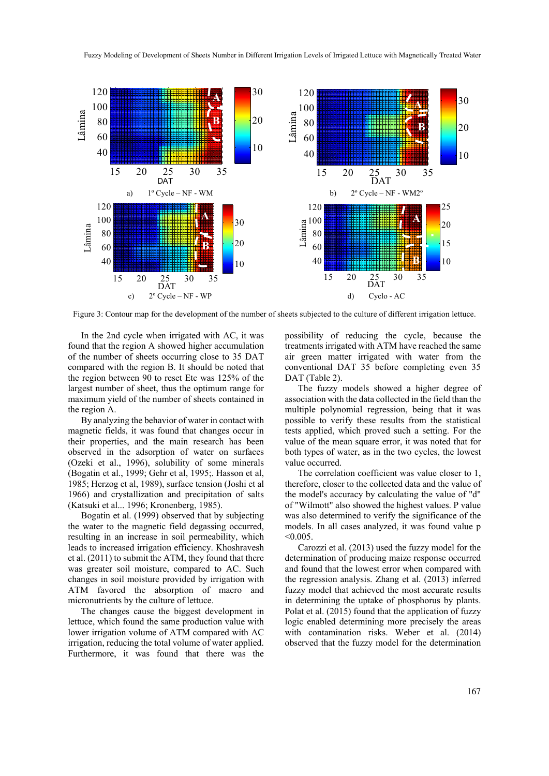

Figure 3: Contour map for the development of the number of sheets subjected to the culture of different irrigation lettuce.

In the 2nd cycle when irrigated with AC, it was found that the region A showed higher accumulation of the number of sheets occurring close to 35 DAT compared with the region B. It should be noted that the region between 90 to reset Etc was 125% of the largest number of sheet, thus the optimum range for maximum yield of the number of sheets contained in the region A.

By analyzing the behavior of water in contact with magnetic fields, it was found that changes occur in their properties, and the main research has been observed in the adsorption of water on surfaces (Ozeki et al., 1996), solubility of some minerals (Bogatin et al., 1999; Gehr et al, 1995;. Hasson et al, 1985; Herzog et al, 1989), surface tension (Joshi et al 1966) and crystallization and precipitation of salts (Katsuki et al... 1996; Kronenberg, 1985).

Bogatin et al. (1999) observed that by subjecting the water to the magnetic field degassing occurred, resulting in an increase in soil permeability, which leads to increased irrigation efficiency. Khoshravesh et al. (2011) to submit the ATM, they found that there was greater soil moisture, compared to AC. Such changes in soil moisture provided by irrigation with ATM favored the absorption of macro and micronutrients by the culture of lettuce.

The changes cause the biggest development in lettuce, which found the same production value with lower irrigation volume of ATM compared with AC irrigation, reducing the total volume of water applied. Furthermore, it was found that there was the possibility of reducing the cycle, because the treatments irrigated with ATM have reached the same air green matter irrigated with water from the conventional DAT 35 before completing even 35 DAT (Table 2).

The fuzzy models showed a higher degree of association with the data collected in the field than the multiple polynomial regression, being that it was possible to verify these results from the statistical tests applied, which proved such a setting. For the value of the mean square error, it was noted that for both types of water, as in the two cycles, the lowest value occurred.

The correlation coefficient was value closer to 1, therefore, closer to the collected data and the value of the model's accuracy by calculating the value of "d" of "Wilmott" also showed the highest values. P value was also determined to verify the significance of the models. In all cases analyzed, it was found value p  $< 0.005$ 

Carozzi et al. (2013) used the fuzzy model for the determination of producing maize response occurred and found that the lowest error when compared with the regression analysis. Zhang et al. (2013) inferred fuzzy model that achieved the most accurate results in determining the uptake of phosphorus by plants. Polat et al. (2015) found that the application of fuzzy logic enabled determining more precisely the areas with contamination risks. Weber et al. (2014) observed that the fuzzy model for the determination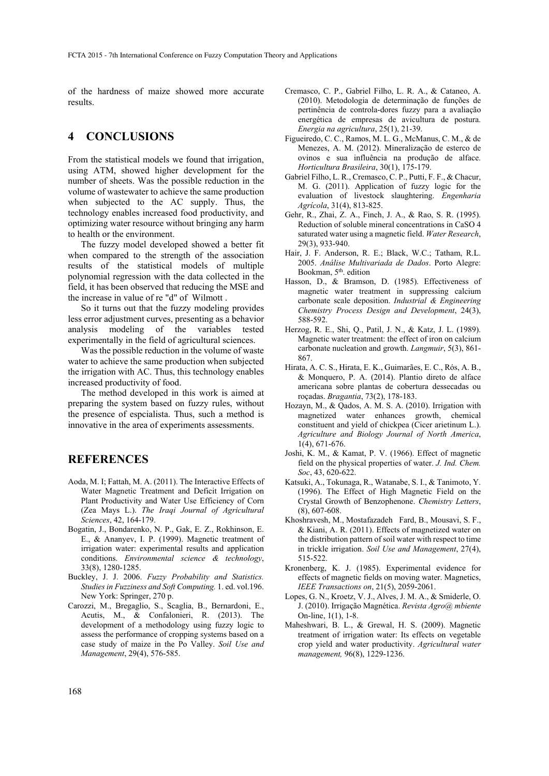of the hardness of maize showed more accurate results.

### **4 CONCLUSIONS**

From the statistical models we found that irrigation, using ATM, showed higher development for the number of sheets. Was the possible reduction in the volume of wastewater to achieve the same production when subjected to the AC supply. Thus, the technology enables increased food productivity, and optimizing water resource without bringing any harm to health or the environment.

The fuzzy model developed showed a better fit when compared to the strength of the association results of the statistical models of multiple polynomial regression with the data collected in the field, it has been observed that reducing the MSE and the increase in value of re "d" of Wilmott .

So it turns out that the fuzzy modeling provides less error adjustment curves, presenting as a behavior analysis modeling of the variables tested experimentally in the field of agricultural sciences.

Was the possible reduction in the volume of waste water to achieve the same production when subjected the irrigation with AC. Thus, this technology enables increased productivity of food.

The method developed in this work is aimed at preparing the system based on fuzzy rules, without the presence of espcialista. Thus, such a method is innovative in the area of experiments assessments.

### **REFERENCES**

- Aoda, M. I; Fattah, M. A. (2011). The Interactive Effects of Water Magnetic Treatment and Deficit Irrigation on Plant Productivity and Water Use Efficiency of Corn (Zea Mays L.). *The Iraqi Journal of Agricultural Sciences*, 42, 164-179.
- Bogatin, J., Bondarenko, N. P., Gak, E. Z., Rokhinson, E. E., & Ananyev, I. P. (1999). Magnetic treatment of irrigation water: experimental results and application conditions. *Environmental science & technology*, 33(8), 1280-1285.
- Buckley, J. J. 2006. *Fuzzy Probability and Statistics. Studies in Fuzziness and Soft Computing.* 1. ed. vol.196. New York: Springer, 270 p.
- Carozzi, M., Bregaglio, S., Scaglia, B., Bernardoni, E., Acutis, M., & Confalonieri, R. (2013). The development of a methodology using fuzzy logic to assess the performance of cropping systems based on a case study of maize in the Po Valley. *Soil Use and Management*, 29(4), 576-585.
- Cremasco, C. P., Gabriel Filho, L. R. A., & Cataneo, A. (2010). Metodologia de determinação de funções de pertinência de controla-dores fuzzy para a avaliação energética de empresas de avicultura de postura. *Energia na agricultura*, 25(1), 21-39.
- Figueiredo, C. C., Ramos, M. L. G., McManus, C. M., & de Menezes, A. M. (2012). Mineralização de esterco de ovinos e sua influência na produção de alface. *Horticultura Brasileira*, 30(1), 175-179.
- Gabriel Filho, L. R., Cremasco, C. P., Putti, F. F., & Chacur, M. G. (2011). Application of fuzzy logic for the evaluation of livestock slaughtering. *Engenharia Agrícola*, 31(4), 813-825.
- Gehr, R., Zhai, Z. A., Finch, J. A., & Rao, S. R. (1995). Reduction of soluble mineral concentrations in CaSO 4 saturated water using a magnetic field. *Water Research*, 29(3), 933-940.
- Hair, J. F. Anderson, R. E.; Black, W.C.; Tatham, R.L. 2005. *Análise Multivariada de Dados*. Porto Alegre: Bookman, 5th. edition
- Hasson, D., & Bramson, D. (1985). Effectiveness of magnetic water treatment in suppressing calcium carbonate scale deposition. *Industrial & Engineering Chemistry Process Design and Development*, 24(3), 588-592.
- Herzog, R. E., Shi, Q., Patil, J. N., & Katz, J. L. (1989). Magnetic water treatment: the effect of iron on calcium carbonate nucleation and growth. *Langmuir*, 5(3), 861- 867.
- Hirata, A. C. S., Hirata, E. K., Guimarães, E. C., Rós, A. B., & Monquero, P. A. (2014). Plantio direto de alface americana sobre plantas de cobertura dessecadas ou roçadas. *Bragantia*, 73(2), 178-183.
- Hozayn, M., & Qados, A. M. S. A. (2010). Irrigation with magnetized water enhances growth, chemical constituent and yield of chickpea (Cicer arietinum L.). *Agriculture and Biology Journal of North America*, 1(4), 671-676.
- Joshi, K. M., & Kamat, P. V. (1966). Effect of magnetic field on the physical properties of water. *J. Ind. Chem. Soc*, 43, 620-622.
- Katsuki, A., Tokunaga, R., Watanabe, S. I., & Tanimoto, Y. (1996). The Effect of High Magnetic Field on the Crystal Growth of Benzophenone. *Chemistry Letters*, (8), 607-608.
- Khoshravesh, M., Mostafazadeh Fard, B., Mousavi, S. F., & Kiani, A. R. (2011). Effects of magnetized water on the distribution pattern of soil water with respect to time in trickle irrigation. *Soil Use and Management*, 27(4), 515-522.
- Kronenberg, K. J. (1985). Experimental evidence for effects of magnetic fields on moving water. Magnetics, *IEEE Transactions on*, 21(5), 2059-2061.
- Lopes, G. N., Kroetz, V. J., Alves, J. M. A., & Smiderle, O. J. (2010). Irrigação Magnética. *Revista Agro@ mbiente* On-line, 1(1), 1-8.
- Maheshwari, B. L., & Grewal, H. S. (2009). Magnetic treatment of irrigation water: Its effects on vegetable crop yield and water productivity. *Agricultural water management,* 96(8), 1229-1236.